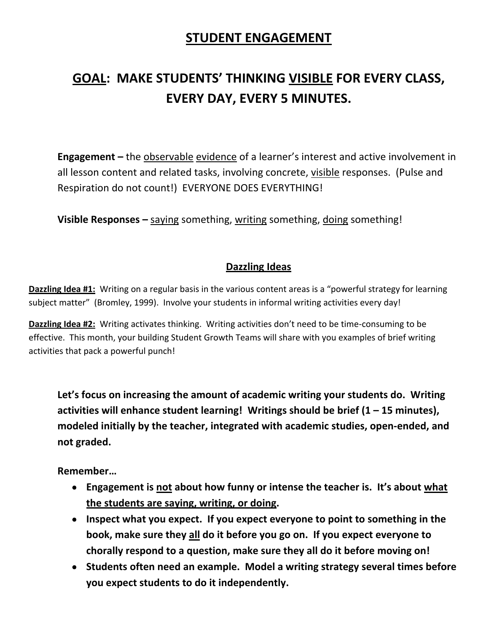## **STUDENT ENGAGEMENT**

## **GOAL: MAKE STUDENTS' THINKING VISIBLE FOR EVERY CLASS, EVERY DAY, EVERY 5 MINUTES.**

**Engagement –** the observable evidence of a learner's interest and active involvement in all lesson content and related tasks, involving concrete, visible responses. (Pulse and Respiration do not count!) EVERYONE DOES EVERYTHING!

**Visible Responses –** saying something, writing something, doing something!

## **Dazzling Ideas**

**Dazzling Idea #1:** Writing on a regular basis in the various content areas is a "powerful strategy for learning subject matter" (Bromley, 1999). Involve your students in informal writing activities every day!

**Dazzling Idea #2:** Writing activates thinking. Writing activities don't need to be time-consuming to be effective. This month, your building Student Growth Teams will share with you examples of brief writing activities that pack a powerful punch!

**Let's focus on increasing the amount of academic writing your students do. Writing activities will enhance student learning! Writings should be brief (1 – 15 minutes), modeled initially by the teacher, integrated with academic studies, open-ended, and not graded.**

**Remember…**

- **Engagement is not about how funny or intense the teacher is. It's about what the students are saying, writing, or doing.**
- **Inspect what you expect. If you expect everyone to point to something in the book, make sure they all do it before you go on. If you expect everyone to chorally respond to a question, make sure they all do it before moving on!**
- **Students often need an example. Model a writing strategy several times before you expect students to do it independently.**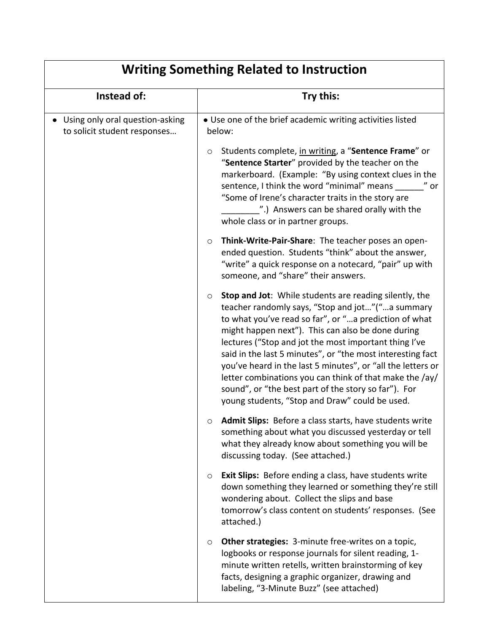| <b>Writing Something Related to Instruction</b>                 |                                                                                                                                                                                                                                                                                                                                                                                                                                                                                                                                                                                                       |  |
|-----------------------------------------------------------------|-------------------------------------------------------------------------------------------------------------------------------------------------------------------------------------------------------------------------------------------------------------------------------------------------------------------------------------------------------------------------------------------------------------------------------------------------------------------------------------------------------------------------------------------------------------------------------------------------------|--|
| Instead of:                                                     | Try this:                                                                                                                                                                                                                                                                                                                                                                                                                                                                                                                                                                                             |  |
| Using only oral question-asking<br>to solicit student responses | • Use one of the brief academic writing activities listed<br>below:                                                                                                                                                                                                                                                                                                                                                                                                                                                                                                                                   |  |
|                                                                 | Students complete, in writing, a "Sentence Frame" or<br>O<br>"Sentence Starter" provided by the teacher on the<br>markerboard. (Example: "By using context clues in the<br>sentence, I think the word "minimal" means ______" or<br>"Some of Irene's character traits in the story are<br>".) Answers can be shared orally with the<br>whole class or in partner groups.                                                                                                                                                                                                                              |  |
|                                                                 | Think-Write-Pair-Share: The teacher poses an open-<br>$\circ$<br>ended question. Students "think" about the answer,<br>"write" a quick response on a notecard, "pair" up with<br>someone, and "share" their answers.                                                                                                                                                                                                                                                                                                                                                                                  |  |
|                                                                 | <b>Stop and Jot:</b> While students are reading silently, the<br>$\circ$<br>teacher randomly says, "Stop and jot"("a summary<br>to what you've read so far", or "a prediction of what<br>might happen next"). This can also be done during<br>lectures ("Stop and jot the most important thing I've<br>said in the last 5 minutes", or "the most interesting fact<br>you've heard in the last 5 minutes", or "all the letters or<br>letter combinations you can think of that make the /ay/<br>sound", or "the best part of the story so far"). For<br>young students, "Stop and Draw" could be used. |  |
|                                                                 | Admit Slips: Before a class starts, have students write<br>$\circ$<br>something about what you discussed yesterday or tell<br>what they already know about something you will be<br>discussing today. (See attached.)                                                                                                                                                                                                                                                                                                                                                                                 |  |
|                                                                 | <b>Exit Slips:</b> Before ending a class, have students write<br>$\circ$<br>down something they learned or something they're still<br>wondering about. Collect the slips and base<br>tomorrow's class content on students' responses. (See<br>attached.)                                                                                                                                                                                                                                                                                                                                              |  |
|                                                                 | Other strategies: 3-minute free-writes on a topic,<br>$\circ$<br>logbooks or response journals for silent reading, 1-<br>minute written retells, written brainstorming of key<br>facts, designing a graphic organizer, drawing and<br>labeling, "3-Minute Buzz" (see attached)                                                                                                                                                                                                                                                                                                                        |  |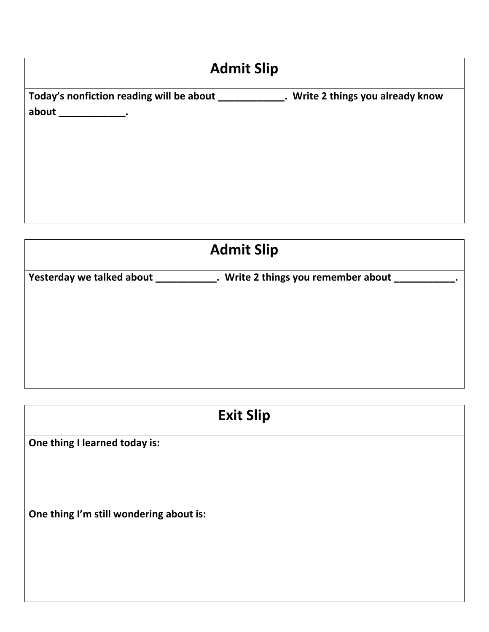| <b>Admit Slip</b>                           |                                   |  |
|---------------------------------------------|-----------------------------------|--|
| Today's nonfiction reading will be about    | . Write 2 things you already know |  |
| about<br><b>Service Contract of Service</b> |                                   |  |
|                                             |                                   |  |
|                                             |                                   |  |
|                                             |                                   |  |
|                                             |                                   |  |
|                                             |                                   |  |

| <b>Admit Slip</b>         |                                     |  |
|---------------------------|-------------------------------------|--|
| Yesterday we talked about | . Write 2 things you remember about |  |
|                           |                                     |  |
|                           |                                     |  |
|                           |                                     |  |
|                           |                                     |  |